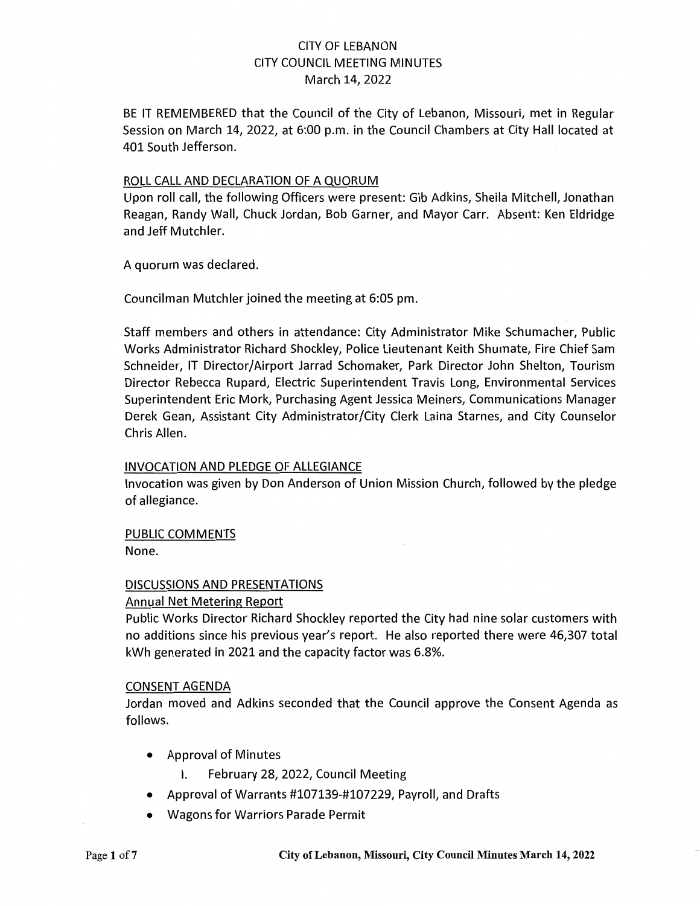### CITY OF LEBANON CITY COUNCIL MEETING MINUTES March 14, 2022

BE IT REMEMBERED that the Council of the City of Lebanon, Missouri, met in Regular Session on March 14, 2022, at 6:00 p.m. in the Council Chambers at City Hall located at 401 South Jefferson.

#### ROLL CALL AND DECLARATION OF A QUORUM

Upon roll call, the following Officers were present: Gib Adkins, Sheila Mitchell, Jonathan Reagan, Randy Wall, Chuck Jordan, Bob Garner, and Mayor Carr. Absent: Ken Eldridge and Jeff Mutchler.

A quorum was declared.

Councilman Mutchler joined the meeting at 6:05 pm.

Staff members and others in attendance: City Administrator Mike Schumacher, Public Works Administrator Richard Shockley, Police Lieutenant Keith Shumate, Fire Chief Sam Schneider, IT Director/Airport Jarrad Schomaker, Park Director John Shelton, Tourism Director Rebecca Rupard, Electric Superintendent Travis Long, Environmental Services Superintendent Eric Mork, Purchasing Agent Jessica Meiners, Communications Manager Derek Gean, Assistant City Administrator/City Clerk Laina Starnes, and City Counselor Chris Allen.

### INVOCATION AND PLEDGE OF ALLEGIANCE

Invocation was given by Don Anderson of Union Mission Church, followed by the pledge of allegiance.

PUBLIC COMMENTS

None.

### DISCUSSIONS AND PRESENTATIONS

#### Annual Net Metering Report

Public Works Director Richard Shockley reported the City had nine solar customers with no additions since his previous year's report. He also reported there were 46,307 total kWh generated in 2021 and the capacity factor was 6.8%.

#### CONSENT AGENDA

Jordan moved and Adkins seconded that the Council approve the Consent Agenda as follows.

- Approval of Minutes
	- I. February 28, 2022, Council Meeting
- Approval of Warrants #107139-#107229, Payroll, and Drafts
- Wagons for Warriors Parade Permit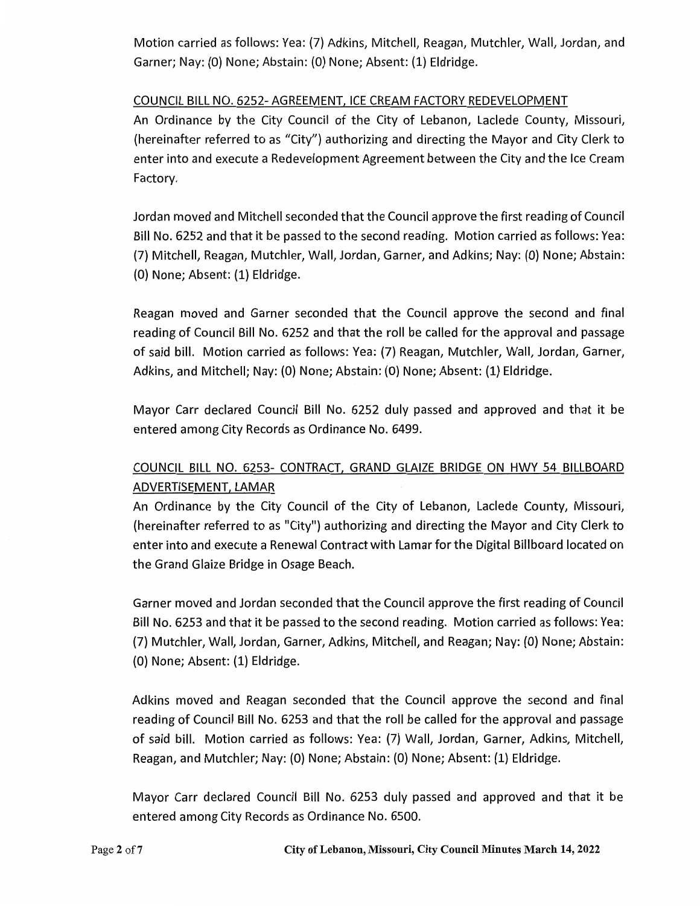Motion carried as follows: Yea: (7) Adkins, Mitchell, Reagan, Mutchler, Wall, Jordan, and Garner; Nay: (0) None; Abstain: (0) None; Absent: (1) Eldridge.

### COUNCIL BILL NO. 6252-AGREEMENT, ICE CREAM FACTORY REDEVELOPMENT

An Ordinance by the City Council of the City of Lebanon, Laclede County, Missouri, (hereinafter referred to as "City") authorizing and directing the Mayor and City Clerk to enter into and execute a Redevelopment Agreement between the City and the Ice Cream Factory.

Jordan moved and Mitchell seconded that the Council approve the first reading of Council Bill No. 6252 and that it be passed to the second reading. Motion carried as follows: Yea: (7) Mitchell, Reagan, Mutchler, Wall, Jordan, Garner, and Adkins; Nay: (0) None; Abstain: (0) None; Absent: (1) Eldridge.

Reagan moved and Garner seconded that the Council approve the second and final reading of Council Bill No. 6252 and that the roll be called for the approval and passage of said bill. Motion carried as follows: Yea: (7) Reagan, Mutchler, Wall, Jordan, Garner, Adkins, and Mitchell; Nay: (0) None; Abstain: (0) None; Absent: (1) Eldridge.

Mayor Carr declared Council Bill No. 6252 duly passed and approved and that it be entered among City Records as Ordinance No. 6499.

# COUNCIL BILL NO. 6253- CONTRACT, GRAND GLAIZE BRIDGE ON HWY 54 BILLBOARD ADVERTISEMENT, LAMAR

An Ordinance by the City Council of the City of Lebanon, Laclede County, Missouri, (hereinafter referred to as "City") authorizing and directing the Mayor and City Clerk to enter into and execute a Renewal Contract with Lamar for the Digital Billboard located on the Grand Glaize Bridge in Osage Beach.

Garner moved and Jordan seconded that the Council approve the first reading of Council Bill No. 6253 and that it be passed to the second reading. Motion carried as follows: Yea: (7) Mutchler, Wall, Jordan, Garner, Adkins, Mitchell, and Reagan; Nay: {O) None; Abstain: (0) None; Absent: (1) Eldridge.

Adkins moved and Reagan seconded that the Council approve the second and final reading of Council Bill No. 6253 and that the roll be called for the approval and passage of said bill. Motion carried as follows: Yea: (7) Wall, Jordan, Garner, Adkins, Mitchell, Reagan, and Mutchler; Nay: (0) None; Abstain: (0) None; Absent: (1) Eldridge.

Mayor Carr declared Council Bill No. 6253 duly passed and approved and that it be entered among City Records as Ordinance No. 6500.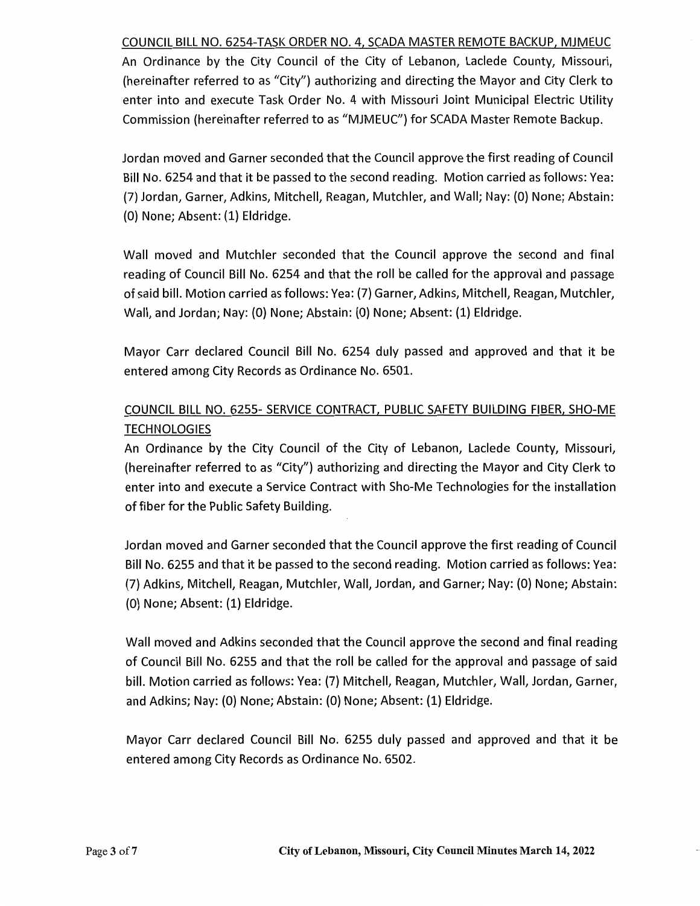COUNCIL BILL NO. 6254-TASK ORDER NO. 4, SCADA MASTER REMOTE BACKUP, MJMEUC

An Ordinance by the City Council of the City of Lebanon, Laclede County, Missouri, (hereinafter referred to as "City") authorizing and directing the Mayor and City Clerk to enter into and execute Task Order No. 4 with Missouri Joint Municipal Electric Utility Commission (hereinafter referred to as "MJMEUC") for SCADA Master Remote Backup.

Jordan moved and Garner seconded that the Council approve the first reading of Council Bill No. 6254 and that it be passed to the second reading. Motion carried as follows: Yea: (7) Jordan, Garner, Adkins, Mitchell, Reagan, Mutchler, and Wall; Nay: (0) None; Abstain: (0) None; Absent: (1) Eldridge.

Wall moved and Mutchler seconded that the Council approve the second and final reading of Council Bill No. 6254 and that the roll be called for the approval and passage of said bill. Motion carried as follows: Yea: (7) Garner, Adkins, Mitchell, Reagan, Mutchler, Wall, and Jordan; Nay: (0) None; Abstain: (0) None; Absent: (1) Eldridge.

Mayor Carr declared Council Bill No. 6254 duly passed and approved and that it be entered among City Records as Ordinance No. 6501.

# COUNCIL BILL NO. 6255- SERVICE CONTRACT, PUBLIC SAFETY BUILDING FIBER, SHO-ME **TECHNOLOGIES**

An Ordinance by the City Council of the City of Lebanon, Laclede County, Missouri, (hereinafter referred to as "City") authorizing and directing the Mayor and City Clerk to enter into and execute a Service Contract with Sho-Me Technologies for the installation of fiber for the Public Safety Building.

Jordan moved and Garner seconded that the Council approve the first reading of Council Bill No. 6255 and that it be passed to the second reading. Motion carried as follows: Yea: (7) Adkins, Mitchell, Reagan, Mutchler, Wall, Jordan, and Garner; Nay: (0) None; Abstain: (0) None; Absent: (1) Eldridge.

Wall moved and Adkins seconded that the Council approve the second and final reading of Council Bill No. 6255 and that the roll be called for the approval and passage of said bill. Motion carried as follows: Yea: (7) Mitchell, Reagan, Mutchler, Wall, Jordan, Garner, and Adkins; Nay: (0) None; Abstain: (0) None; Absent: (1) Eldridge.

Mayor Carr declared Council Bill No. 6255 duly passed and approved and that it be entered among City Records as Ordinance No. 6502.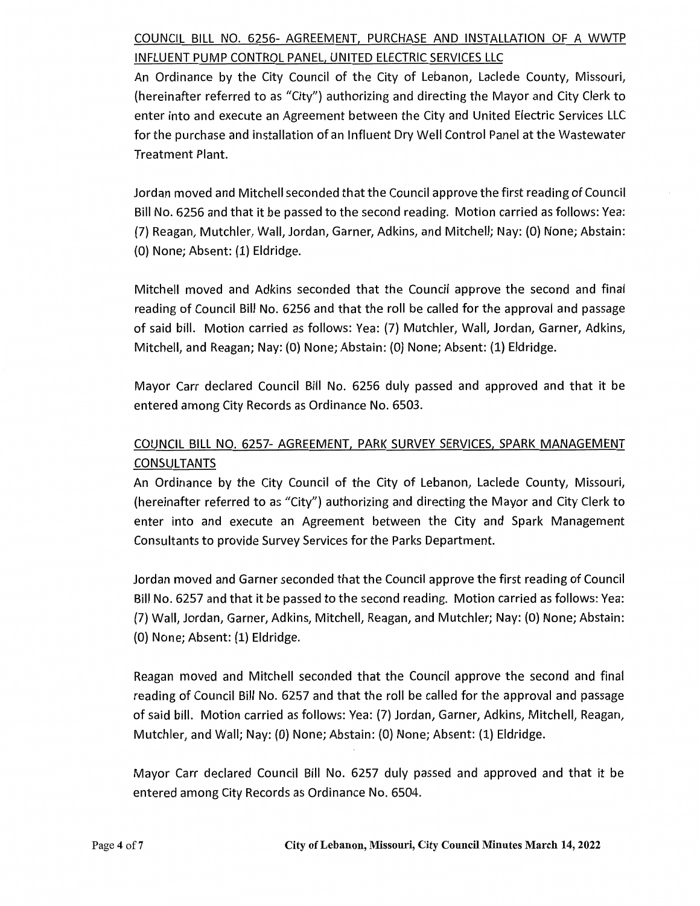# COUNCIL BILL NO. 6256- AGREEMENT, PURCHASE AND INSTALLATION OF A WWTP INFLUENT PUMP CONTROL PANEL, UNITED ELECTRIC SERVICES LLC

An Ordinance by the City Council of the City of Lebanon, Laclede County, Missouri, (hereinafter referred to as "City") authorizing and directing the Mayor and City Clerk to enter into and execute an Agreement between the City and United Electric Services LLC for the purchase and installation of an Influent Dry Well Control Panel at the Wastewater Treatment Plant.

Jordan moved and Mitchell seconded that the Council approve the first reading of Council Bill No. 6256 and that it be passed to the second reading. Motion carried as follows: Yea: (7) Reagan, Mutchler, Wall, Jordan, Garner, Adkins, and Mitchell; Nay: (0) None; Abstain: (0) None; Absent: (1) Eldridge.

Mitchell moved and Adkins seconded that the Council approve the second and final reading of Council Bill No. 6256 and that the roll be called for the approval and passage of said bill. Motion carried as follows: Vea: (7) Mutchler, Wall, Jordan, Garner, Adkins, Mitchell, and Reagan; Nay: (0) None; Abstain: (0) None; Absent: (1) Eldridge.

Mayor Carr declared Council Bill No. 6256 duly passed and approved and that it be entered among City Records as Ordinance No. 6503.

# COUNCIL BILL NO. 6257- AGREEMENT, PARK SURVEY SERVICES, SPARK MANAGEMENT CONSULTANTS

An Ordinance by the City Council of the City of Lebanon, Laclede County, Missouri, (hereinafter referred to as "City") authorizing and directing the Mayor and City Clerk to enter into and execute an Agreement between the City and Spark Management Consultants to provide Survey Services for the Parks Department.

Jordan moved and Garner seconded that the Council approve the first reading of Council Bill No. 6257 and that it be passed to the second reading. Motion carried as follows: Vea: (7) Wall, Jordan, Garner, Adkins, Mitchell, Reagan, and Mutchler; Nay: (0) None; Abstain: (0) None; Absent: (1) Eldridge.

Reagan moved and Mitchell seconded that the Council approve the second and final reading of Council Bill No. 6257 and that the roll be called for the approval and passage of said bill. Motion carried as follows: Yea: (7) Jordan, Garner, Adkins, Mitchell, Reagan, Mutchler, and Wall; Nay: (0) None; Abstain: (0) None; Absent: (1) Eldridge.

Mayor Carr declared Council Bill No. 6257 duly passed and approved and that it be entered among City Records as Ordinance No. 6504.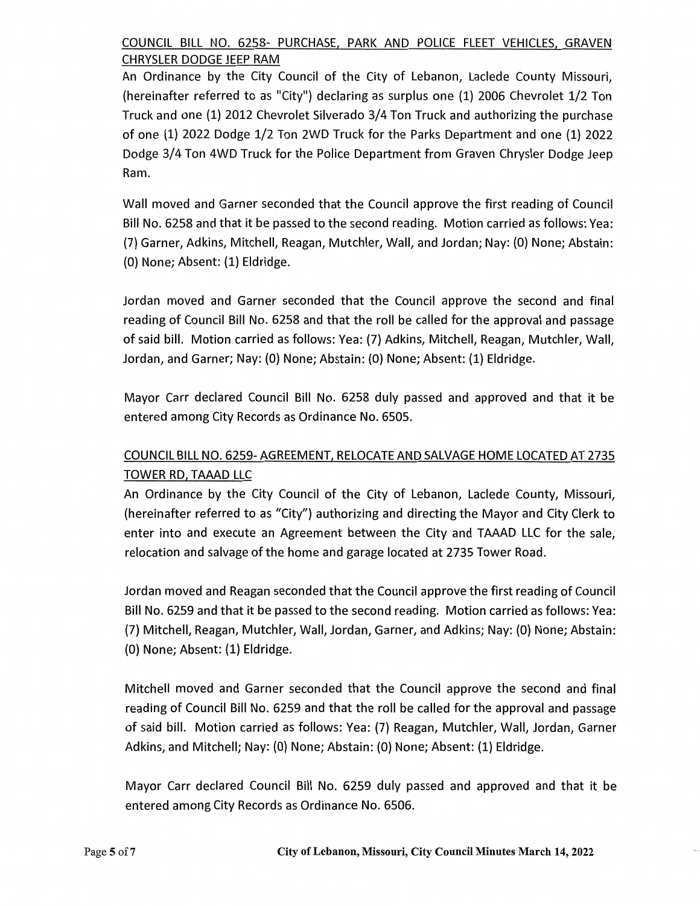### COUNCIL BILL NO. 6258- PURCHASE, PARK AND POLICE FLEET VEHICLES, GRAVEN CHRYSLER DODGE JEEP RAM

An Ordinance by the City Council of the City of Lebanon, Laclede County Missouri, (hereinafter referred to as "City") declaring as surplus one {1) 2006 Chevrolet 1/2 Ton Truck and one (1) 2012 Chevrolet Silverado 3/4 Ton Truck and authorizing the purchase of one (1) 2022 Dodge 1/2 Ton 2WD Truck for the Parks Department and one {1) 2022 Dodge 3/4 Ton 4WD Truck for the Police Department from Graven Chrysler Dodge Jeep Ram.

Wall moved and Garner seconded that the Council approve the first reading of Council Bill No. 6258 and that it be passed to the second reading. Motion carried as follows: Yea: (7) Garner, Adkins, Mitchell, Reagan, Mutchler, Wall, and Jordan; Nay: {0) None; Abstain: {0) None; Absent: (1) Eldridge.

Jordan moved and Garner seconded that the Council approve the second and final reading of Council Bill No. 6258 and that the roll be called for the approval and passage of said bill. Motion carried as follows: Yea: (7) Adkins, Mitchell, Reagan, Mutchler, Wall, Jordan, and Garner; Nay: {0) None; Abstain: (0) None; Absent: (1) Eldridge.

Mayor Carr declared Council Bill No. 6258 duly passed and approved and that it be entered among City Records as Ordinance No. 6505.

# COUNCIL BILL NO. 6259-AGREEMENT, RELOCATE AND SALVAGE HOME LOCATED AT 2735 TOWER RD, TAAAD LLC

An Ordinance by the City Council of the City of Lebanon, Laclede County, Missouri, (hereinafter referred to as "City") authorizing and directing the Mayor and City Clerk to enter into and execute an Agreement between the City and TAAAD LLC for the sale, relocation and salvage ofthe home and garage located at 2735 Tower Road.

Jordan moved and Reagan seconded that the Council approve the first reading of Council Bill No. 6259 and that it be passed to the second reading. Motion carried as follows: Yea: {7) Mitchell, Reagan, Mutchler, Wall, Jordan, Garner, and Adkins; Nay: {0) None; Abstain: {0) None; Absent: {1) Eldridge.

Mitchell moved and Garner seconded that the Council approve the second and final reading of Council Bill No. 6259 and that the roll be called for the approval and passage of said bill. Motion carried as follows: Yea: {7) Reagan, Mutchler, Wall, Jordan, Garner Adkins, and Mitchell; Nay: (0) None; Abstain: {0) None; Absent: (1) Eldridge.

Mayor Carr declared Council Bill No. 6259 duly passed and approved and that it be entered among City Records as Ordinance No. 6506.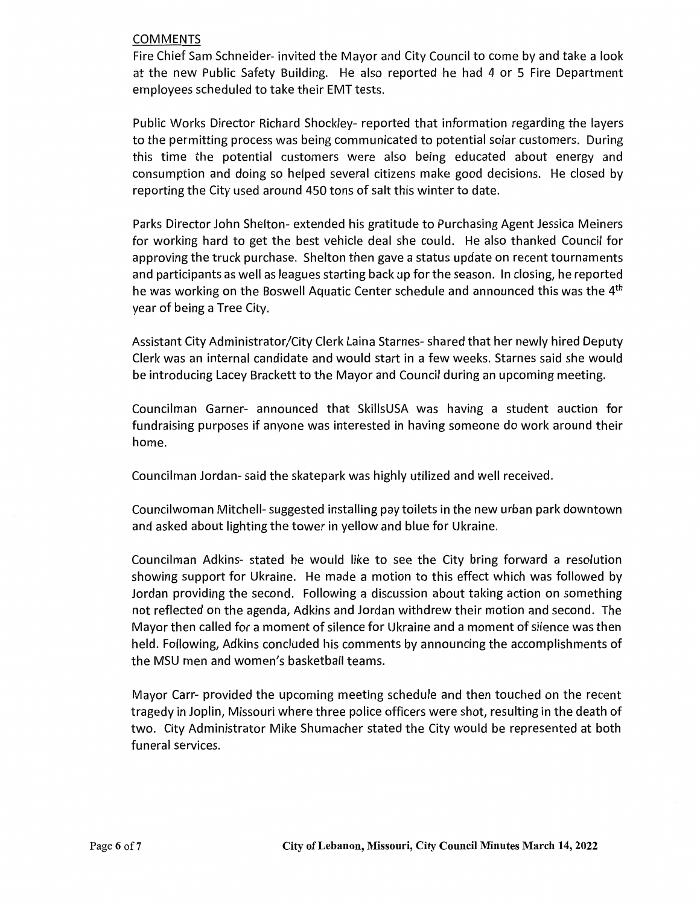#### COMMENTS

Fire Chief Sam Schneider- invited the Mayor and City Council to come by and take a look at the new Public Safety Building. He also reported he had 4 or 5 Fire Department employees scheduled to take their EMT tests.

Public Works Director Richard Shockley- reported that information regarding the layers to the permitting process was being communicated to potential solar customers. During this time the potential customers were also being educated about energy and consumption and doing so helped several citizens make good decisions. He closed by reporting the City used around 450 tons of salt this winter to date.

Parks Director John Shelton- extended his gratitude to Purchasing Agent Jessica Meiners for working hard to get the best vehicle deal she could. He also thanked Council for approving the truck purchase. Shelton then gave a status update on recent tournaments and participants as well as leagues starting back up for the season. In closing, he reported he was working on the Boswell Aquatic Center schedule and announced this was the 4th year of being a Tree City.

Assistant City Administrator/City Clerk Laina Starnes- shared that her newly hired Deputy Clerk was an internal candidate and would start in a few weeks. Starnes said she would be introducing Lacey Brackett to the Mayor and Council during an upcoming meeting.

Councilman Garner- announced that SkillsUSA was having a student auction for fundraising purposes if anyone was interested in having someone do work around their home.

Councilman Jordan- said the skatepark was highly utilized and well received.

Councilwoman Mitchell- suggested installing pay toilets in the new urban park downtown and asked about lighting the tower in yellow and blue for Ukraine.

Councilman Adkins- stated he would like to see the City bring forward a resolution showing support for Ukraine. He made a motion to this effect which was followed by Jordan providing the second. Following a discussion about taking action on something not reflected on the agenda, Adkins and Jordan withdrew their motion and second. The Mayor then called for a moment of silence for Ukraine and a moment of silence was then held. Following, Adkins concluded his comments by announcing the accomplishments of the MSU men and women's basketball teams.

Mayor Carr- provided the upcoming meeting schedule and then touched on the recent tragedy in Joplin, Missouri where three police officers were shot, resulting in the death of two. City Administrator Mike Shumacher stated the City would be represented at both funeral services.